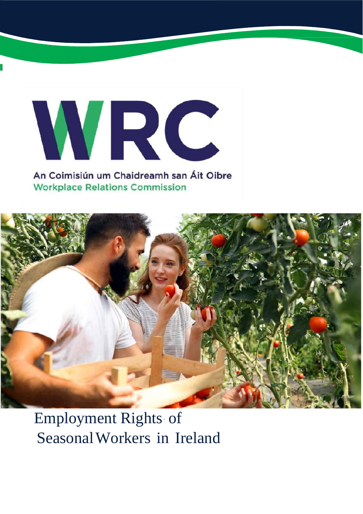# WRC An Coimisiún um Chaidreamh san Áit Oibre

**Workplace Relations Commission** 



## Employment Rights of SeasonalWorkers in Ireland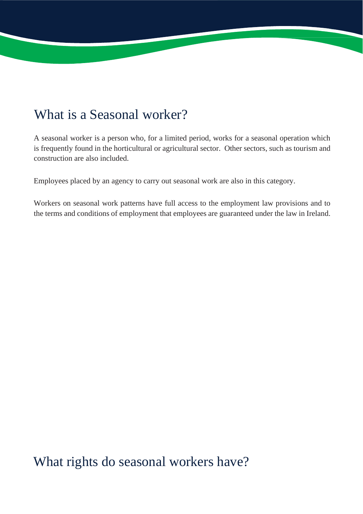## What is a Seasonal worker?

A seasonal worker is a person who, for a limited period, works for a seasonal operation which is frequently found in the horticultural or agricultural sector. Other sectors, such as tourism and construction are also included.

Employees placed by an agency to carry out seasonal work are also in this category.

Workers on seasonal work patterns have full access to the employment law provisions and to the terms and conditions of employment that employees are guaranteed under the law in Ireland.

What rights do seasonal workers have?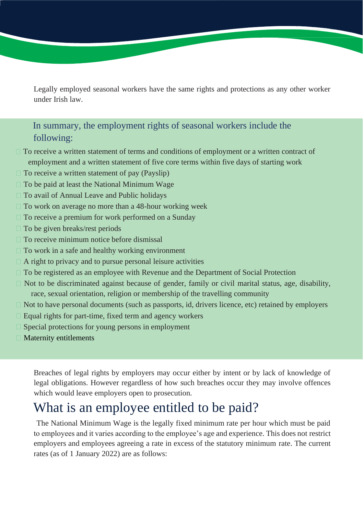Legally employed seasonal workers have the same rights and protections as any other worker under Irish law.

#### In summary, the employment rights of seasonal workers include the following:

- $\Box$  To receive a written statement of terms and conditions of employment or a written contract of employment and a written statement of five core terms within five days of starting work
- $\Box$  To receive a written statement of pay (Payslip)
- $\Box$  To be paid at least the National Minimum Wage
- □ To avail of Annual Leave and Public holidays
- $\Box$  To work on average no more than a 48-hour working week
- $\Box$  To receive a premium for work performed on a Sunday
- $\Box$  To be given breaks/rest periods
- $\Box$  To receive minimum notice before dismissal
- $\Box$  To work in a safe and healthy working environment
- $\Box$  A right to privacy and to pursue personal leisure activities
- To be registered as an employee with Revenue and the Department of Social Protection
- $\Box$  Not to be discriminated against because of gender, family or civil marital status, age, disability, race, sexual orientation, religion or membership of the travelling community
- $\Box$  Not to have personal documents (such as passports, id, drivers licence, etc) retained by employers
- $\Box$  Equal rights for part-time, fixed term and agency workers
- Special protections for young persons in employment
- $\Box$  Maternity entitlements

Breaches of legal rights by employers may occur either by intent or by lack of knowledge of legal obligations. However regardless of how such breaches occur they may involve offences which would leave employers open to prosecution.

#### What is an employee entitled to be paid?

The National Minimum Wage is the legally fixed minimum rate per hour which must be paid to employees and it varies according to the employee's age and experience. This does not restrict employers and employees agreeing a rate in excess of the statutory minimum rate. The current rates (as of 1 January 2022) are as follows: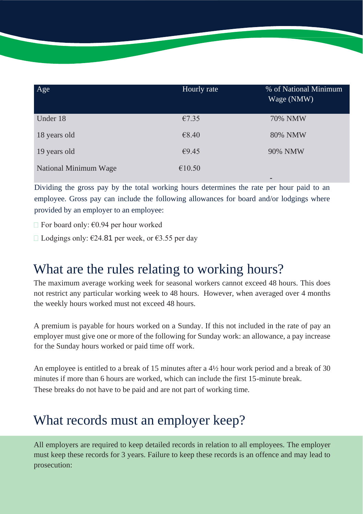| Age                   | Hourly rate | % of National Minimum<br>Wage (NMW) |
|-----------------------|-------------|-------------------------------------|
| Under 18              | €7.35       | <b>70% NMW</b>                      |
| 18 years old          | €8.40       | 80% NMW                             |
| 19 years old          | €9.45       | 90% NMW                             |
| National Minimum Wage | €10.50      |                                     |
|                       |             | $\overline{\phantom{a}}$            |

Dividing the gross pay by the total working hours determines the rate per hour paid to an employee. Gross pay can include the following allowances for board and/or lodgings where provided by an employer to an employee:

 $\Box$  For board only:  $\epsilon$ 0.94 per hour worked

 $□$  Lodgings only: €24.81 per week, or €3.55 per day

## What are the rules relating to working hours?

The maximum average working week for seasonal workers cannot exceed 48 hours. This does not restrict any particular working week to 48 hours. However, when averaged over 4 months the weekly hours worked must not exceed 48 hours.

A premium is payable for hours worked on a Sunday. If this not included in the rate of pay an employer must give one or more of the following for Sunday work: an allowance, a pay increase for the Sunday hours worked or paid time off work.

An employee is entitled to a break of 15 minutes after a  $4\frac{1}{2}$  hour work period and a break of 30 minutes if more than 6 hours are worked, which can include the first 15-minute break. These breaks do not have to be paid and are not part of working time.

## What records must an employer keep?

All employers are required to keep detailed records in relation to all employees. The employer must keep these records for 3 years. Failure to keep these records is an offence and may lead to prosecution: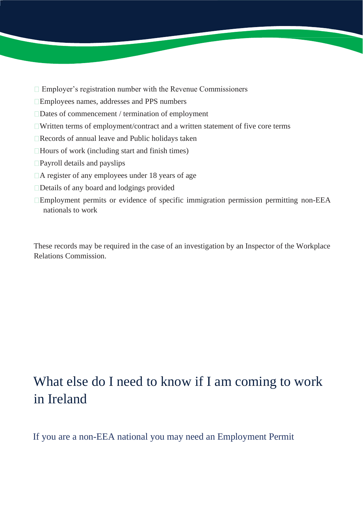- $\Box$  Employer's registration number with the Revenue Commissioners
- Employees names, addresses and PPS numbers
- Dates of commencement / termination of employment
- Written terms of employment/contract and a written statement of five core terms
- Records of annual leave and Public holidays taken
- $\Box$  Hours of work (including start and finish times)
- Payroll details and payslips
- A register of any employees under 18 years of age
- Details of any board and lodgings provided
- Employment permits or evidence of specific immigration permission permitting non-EEA nationals to work

These records may be required in the case of an investigation by an Inspector of the Workplace Relations Commission.

## What else do I need to know if I am coming to work in Ireland

If you are a non-EEA national you may need an Employment Permit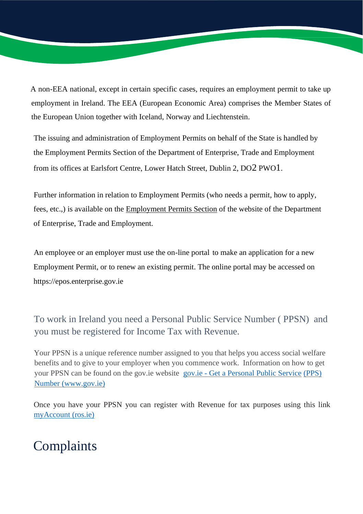A non-EEA national, except in certain specific cases, requires an employment permit to take up employment in Ireland. The EEA (European Economic Area) comprises the Member States of the European Union together with Iceland, Norway and Liechtenstein.

The issuing and administration of Employment Permits on behalf of the State is handled by the Employment Permits Section of the Department of Enterprise, Trade and Employment from its offices at Earlsfort Centre, Lower Hatch Street, Dublin 2, DO2 PWO1.

Further information in relation to Employment Permits (who needs a permit, how to apply, fees, etc.,) is available on the Employment Permits Section of the website of the Department of Enterprise, Trade and Employment.

An employee or an employer must use the on-line portal to make an application for a new Employment Permit, or to renew an existing permit. The online portal may be accessed on https://epos.enterprise.gov.ie

To work in Ireland you need a Personal Public Service Number ( PPSN) and you must be registered for Income Tax with Revenue.

Your PPSN is a unique reference number assigned to you that helps you access social welfare benefits and to give to your employer when you commence work. Information on how to get your PPSN can be found on the gov.ie website gov.ie - Get a Personal Public Service (PPS) Number (www.gov.ie)

Once you have your PPSN you can register with Revenue for tax purposes using this link myAccount (ros.ie)

## **Complaints**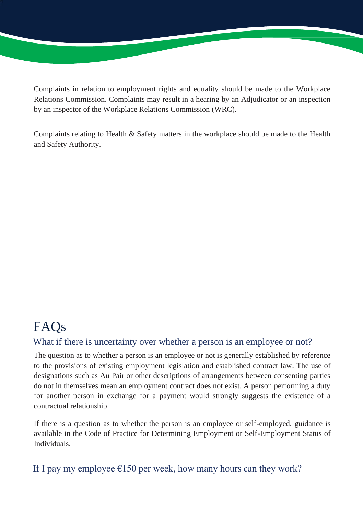Complaints in relation to employment rights and equality should be made to the Workplace Relations Commission. Complaints may result in a hearing by an Adjudicator or an inspection by an inspector of the Workplace Relations Commission (WRC).

Complaints relating to Health & Safety matters in the workplace should be made to the Health and Safety Authority.

#### FAQs What if there is uncertainty over whether a person is an employee or not?

The question as to whether a person is an employee or not is generally established by reference to the provisions of existing employment legislation and established contract law. The use of designations such as Au Pair or other descriptions of arrangements between consenting parties do not in themselves mean an employment contract does not exist. A person performing a duty for another person in exchange for a payment would strongly suggests the existence of a contractual relationship.

If there is a question as to whether the person is an employee or self-employed, guidance is available in the Code of Practice for Determining Employment or Self-Employment Status of Individuals.

#### If I pay my employee  $\epsilon$ 150 per week, how many hours can they work?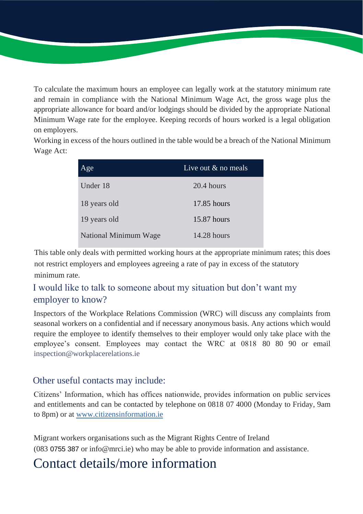To calculate the maximum hours an employee can legally work at the statutory minimum rate and remain in compliance with the National Minimum Wage Act, the gross wage plus the appropriate allowance for board and/or lodgings should be divided by the appropriate National Minimum Wage rate for the employee. Keeping records of hours worked is a legal obligation on employers.

Working in excess of the hours outlined in the table would be a breach of the National Minimum Wage Act:

| Age                   | Live out $\&$ no meals |
|-----------------------|------------------------|
| Under 18              | $20.4$ hours           |
| 18 years old          | $17.85$ hours          |
| 19 years old          | $15.87$ hours          |
| National Minimum Wage | $14.28$ hours          |

This table only deals with permitted working hours at the appropriate minimum rates; this does not restrict employers and employees agreeing a rate of pay in excess of the statutory minimum rate.

#### I would like to talk to someone about my situation but don't want my employer to know?

Inspectors of the Workplace Relations Commission (WRC) will discuss any complaints from seasonal workers on a confidential and if necessary anonymous basis. Any actions which would require the employee to identify themselves to their employer would only take place with the employee's consent. Employees may contact the WRC at 0818 80 80 90 or email inspection@workplacerelations.ie

#### Other useful contacts may include:

Citizens' Information, which has offices nationwide, provides information on public services and entitlements and can be contacted by telephone on 0818 07 4000 (Monday to Friday, 9am to 8pm) or at www.citizensinformation.ie

Migrant workers organisations such as the Migrant Rights Centre of Ireland (083 0755 387 or info@mrci.ie) who may be able to provide information and assistance.

## Contact details/more information